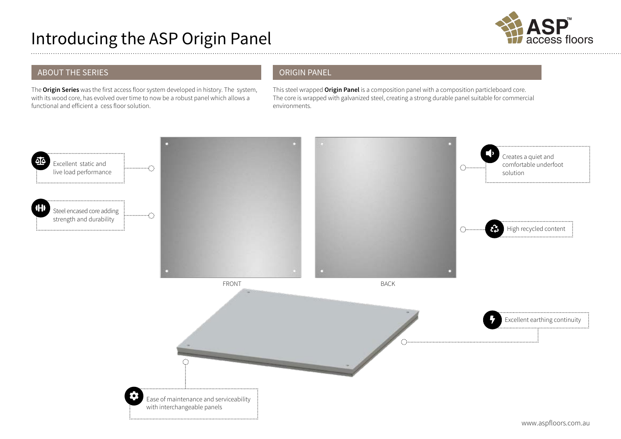# Introducing the ASP Origin Panel



## ABOUT THE SERIES

The **Origin Series** was the first access floor system developed in history. The system, with its wood core, has evolved over time to now be a robust panel which allows a functional and efficient a cess floor solution.

## ORIGIN PANEL

This steel wrapped **Origin Panel** is a composition panel with a composition particleboard core. The core is wrapped with galvanized steel, creating a strong durable panel suitable for commercial environments.

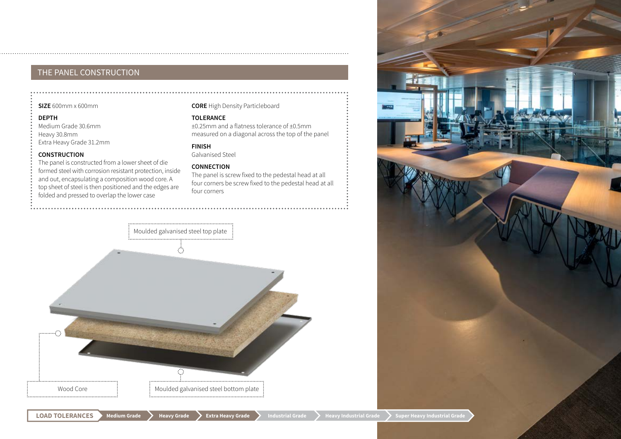## THE PANEL CONSTRUCTION

#### **SIZE** 600mm x 600mm

#### **DEPTH**

Medium Grade 30.6mm Heavy 30.8mm Extra Heavy Grade 31.2mm

#### **CONSTRUCTION**

The panel is constructed from a lower sheet of die formed steel with corrosion resistant protection, inside and out, encapsulating a composition wood core. A top sheet of steel is then positioned and the edges are folded and pressed to overlap the lower case

#### **CORE** High Density Particleboard

#### **TOLERANCE**

±0.25mm and a flatness tolerance of ±0.5mm measured on a diagonal across the top of the panel

### **FINISH**

Galvanised Steel

#### **CONNECTION**

The panel is screw fixed to the pedestal head at all four corners be screw fixed to the pedestal head at all four corners